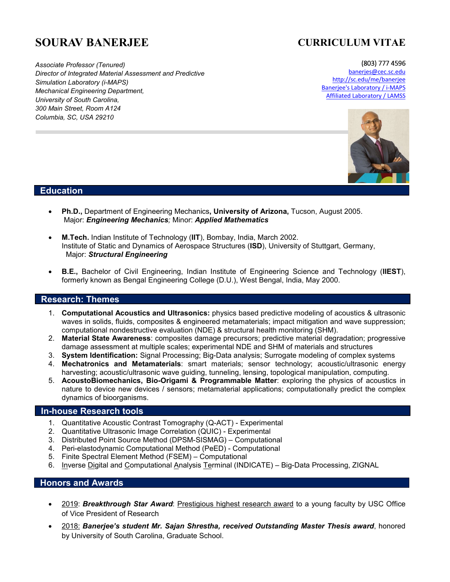# **SOURAV BANERJEE**

# **CURRICULUM VITAE**

(803) 777 4596

*Associate Professor (Tenured) Director of Integrated Material Assessment and Predictive Simulation Laboratory (i-MAPS) Mechanical Engineering Department, University of South Carolina, 300 Main Street, Room A124 Columbia, SC, USA 29210*

banerjes@cec.sc.edu http://sc.edu/me/banerjee Banerjee's Laboratory / i-MAPS Affiliated Laboratory / LAMSS



# **Education**

- **Ph.D.,** Department of Engineering Mechanics**, University of Arizona,** Tucson, August 2005. Major: *Engineering Mechanics;* Minor: *Applied Mathematics*
- **M.Tech.** Indian Institute of Technology (**IIT**), Bombay, India, March 2002. Institute of Static and Dynamics of Aerospace Structures (**ISD**), University of Stuttgart, Germany, Major: *Structural Engineering*
- **B.E.,** Bachelor of Civil Engineering, Indian Institute of Engineering Science and Technology (**IIEST**), formerly known as Bengal Engineering College (D.U.), West Bengal, India, May 2000.

# **Research: Themes**

- 1. **Computational Acoustics and Ultrasonics:** physics based predictive modeling of acoustics & ultrasonic waves in solids, fluids, composites & engineered metamaterials; impact mitigation and wave suppression; computational nondestructive evaluation (NDE) & structural health monitoring (SHM).
- 2. **Material State Awareness**: composites damage precursors; predictive material degradation; progressive damage assessment at multiple scales; experimental NDE and SHM of materials and structures
- 3. **System Identification:** Signal Processing; Big-Data analysis; Surrogate modeling of complex systems
- 4. **Mechatronics and Metamaterials**: smart materials; sensor technology; acoustic/ultrasonic energy harvesting; acoustic/ultrasonic wave guiding, tunneling, lensing, topological manipulation, computing.
- 5. **AcoustoBiomechanics, Bio-Origami & Programmable Matter**: exploring the physics of acoustics in nature to device new devices / sensors; metamaterial applications; computationally predict the complex dynamics of bioorganisms.

# **In-house Research tools**

- 1. Quantitative Acoustic Contrast Tomography (Q-ACT) Experimental
- 2. Quantitative Ultrasonic Image Correlation (QUIC) Experimental
- 3. Distributed Point Source Method (DPSM-SISMAG) Computational
- 4. Peri-elastodynamic Computational Method (PeED) Computational
- 5. Finite Spectral Element Method (FSEM) Computational
- 6. Inverse Digital and Computational Analysis Terminal (INDICATE) Big-Data Processing, ZIGNAL

# **Honors and Awards**

- 2019: *Breakthrough Star Award*: Prestigious highest research award to a young faculty by USC Office of Vice President of Research
- 2018: *Banerjee's student Mr. Sajan Shrestha, received Outstanding Master Thesis award*, honored by University of South Carolina, Graduate School.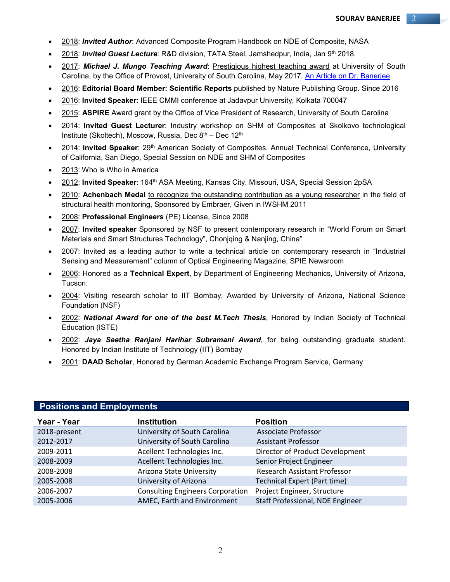- 2018: *Invited Author*: Advanced Composite Program Handbook on NDE of Composite, NASA
- 2018: *Invited Guest Lecture*: R&D division, TATA Steel, Jamshedpur, India, Jan 9th 2018.
- 2017: *Michael J. Mungo Teaching Award*: Prestigious highest teaching award at University of South Carolina, by the Office of Provost, University of South Carolina, May 2017. An Article on Dr. Banerjee
- 2016: **Editorial Board Member: Scientific Reports** published by Nature Publishing Group. Since 2016
- 2016: **Invited Speaker**: IEEE CMMI conference at Jadavpur University, Kolkata 700047
- 2015: **ASPIRE** Award grant by the Office of Vice President of Research, University of South Carolina
- 2014: **Invited Guest Lecturer**: Industry workshop on SHM of Composites at Skolkovo technological Institute (Skoltech), Moscow, Russia, Dec 8<sup>th</sup> – Dec 12<sup>th</sup>
- 2014: **Invited Speaker**: 29th American Society of Composites, Annual Technical Conference, University of California, San Diego, Special Session on NDE and SHM of Composites
- 2013: Who is Who in America
- 2012: **Invited Speaker**: 164th ASA Meeting, Kansas City, Missouri, USA, Special Session 2pSA
- 2010: **Achenbach Medal** to recognize the outstanding contribution as a young researcher in the field of structural health monitoring, Sponsored by Embraer, Given in IWSHM 2011
- 2008: **Professional Engineers** (PE) License, Since 2008
- 2007: **Invited speaker** Sponsored by NSF to present contemporary research in "World Forum on Smart Materials and Smart Structures Technology", Chonjqing & Nanjing, China"
- 2007: Invited as a leading author to write a technical article on contemporary research in "Industrial Sensing and Measurement" column of Optical Engineering Magazine, SPIE Newsroom
- 2006: Honored as a **Technical Expert**, by Department of Engineering Mechanics, University of Arizona, Tucson.
- 2004: Visiting research scholar to IIT Bombay, Awarded by University of Arizona, National Science Foundation (NSF)
- 2002: *National Award for one of the best M.Tech Thesis*, Honored by Indian Society of Technical Education (ISTE)
- 2002: *Jaya Seetha Ranjani Harihar Subramani Award*, for being outstanding graduate student. Honored by Indian Institute of Technology (IIT) Bombay
- 2001: **DAAD Scholar**, Honored by German Academic Exchange Program Service, Germany

| Year - Year  | <b>Institution</b>                      | <b>Position</b>                     |
|--------------|-----------------------------------------|-------------------------------------|
| 2018-present | University of South Carolina            | <b>Associate Professor</b>          |
| 2012-2017    | University of South Carolina            | <b>Assistant Professor</b>          |
| 2009-2011    | Acellent Technologies Inc.              | Director of Product Development     |
| 2008-2009    | Acellent Technologies Inc.              | Senior Project Engineer             |
| 2008-2008    | Arizona State University                | <b>Research Assistant Professor</b> |
| 2005-2008    | University of Arizona                   | <b>Technical Expert (Part time)</b> |
| 2006-2007    | <b>Consulting Engineers Corporation</b> | Project Engineer, Structure         |
| 2005-2006    | AMEC, Earth and Environment             | Staff Professional, NDE Engineer    |

# **Positions and Employments**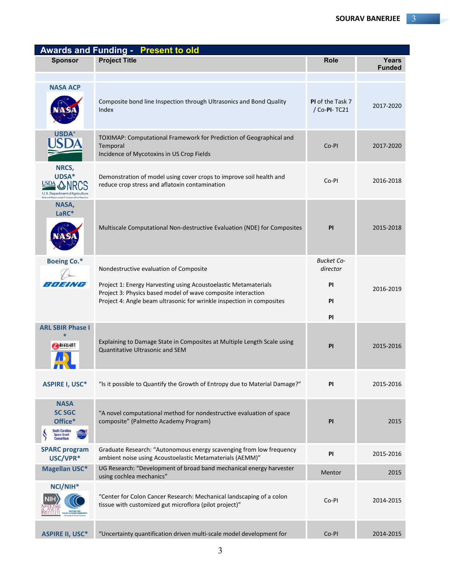| <b>Awards and Funding - Present to old</b>                                                         |                                                                                                                                                                                                                                                    |                                                                      |                        |  |
|----------------------------------------------------------------------------------------------------|----------------------------------------------------------------------------------------------------------------------------------------------------------------------------------------------------------------------------------------------------|----------------------------------------------------------------------|------------------------|--|
| <b>Sponsor</b>                                                                                     | <b>Project Title</b>                                                                                                                                                                                                                               | <b>Role</b>                                                          | Years<br><b>Funded</b> |  |
| <b>NASA ACP</b>                                                                                    | Composite bond line Inspection through Ultrasonics and Bond Quality<br>Index                                                                                                                                                                       | PI of the Task 7<br>/ Co-PI-TC21                                     | 2017-2020              |  |
| <b>USDA</b>                                                                                        | TOXIMAP: Computational Framework for Prediction of Geographical and<br>Temporal<br>Incidence of Mycotoxins in US Crop Fields                                                                                                                       | Co-PI                                                                | 2017-2020              |  |
| NRCS,<br>UDSA*<br>USDA<br>U.S. Department of Agriculture<br>Natural Resources Conservation Service | Demonstration of model using cover crops to improve soil health and<br>reduce crop stress and aflatoxin contamination                                                                                                                              | Co-PI                                                                | 2016-2018              |  |
| NASA,<br>LaRC*                                                                                     | Multiscale Computational Non-destructive Evaluation (NDE) for Composites                                                                                                                                                                           | PI                                                                   | 2015-2018              |  |
| <b>Boeing Co.*</b><br><i>BOEING</i>                                                                | Nondestructive evaluation of Composite<br>Project 1: Energy Harvesting using Acoustoelastic Metamaterials<br>Project 3: Physics based model of wave composite interaction<br>Project 4: Angle beam ultrasonic for wrinkle inspection in composites | <b>Bucket Co-</b><br>director<br><b>PI</b><br><b>PI</b><br><b>PI</b> | 2016-2019              |  |
| <b>ARL SBIR Phase I</b><br><b>A</b> ACCLLENT                                                       | Explaining to Damage State in Composites at Multiple Length Scale using<br>Quantitative Ultrasonic and SEM                                                                                                                                         | PI                                                                   | 2015-2016              |  |
| <b>ASPIRE I, USC*</b>                                                                              | "Is it possible to Quantify the Growth of Entropy due to Material Damage?"                                                                                                                                                                         | PI                                                                   | 2015-2016              |  |
| <b>NASA</b><br><b>SC SGC</b><br>Office*<br>South Carolina<br>Space Grant<br><b>Consortium</b>      | "A novel computational method for nondestructive evaluation of space<br>composite" (Palmetto Academy Program)                                                                                                                                      | PI                                                                   | 2015                   |  |
| <b>SPARC program</b><br>USC/VPR*                                                                   | Graduate Research: "Autonomous energy scavenging from low frequency<br>ambient noise using Acoustoelastic Metamaterials (AEMM)"                                                                                                                    | PI                                                                   | 2015-2016              |  |
| <b>Magellan USC*</b>                                                                               | UG Research: "Development of broad band mechanical energy harvester<br>using cochlea mechanics"                                                                                                                                                    | Mentor                                                               | 2015                   |  |
| NCI/NIH <sup>*</sup><br>CENTER FOR<br>OLON CANCER RESEARCH                                         | "Center for Colon Cancer Research: Mechanical landscaping of a colon<br>tissue with customized gut microflora (pilot project)"                                                                                                                     | Co-PI                                                                | 2014-2015              |  |
| <b>ASPIRE II, USC*</b>                                                                             | "Uncertainty quantification driven multi-scale model development for                                                                                                                                                                               | Co-PI                                                                | 2014-2015              |  |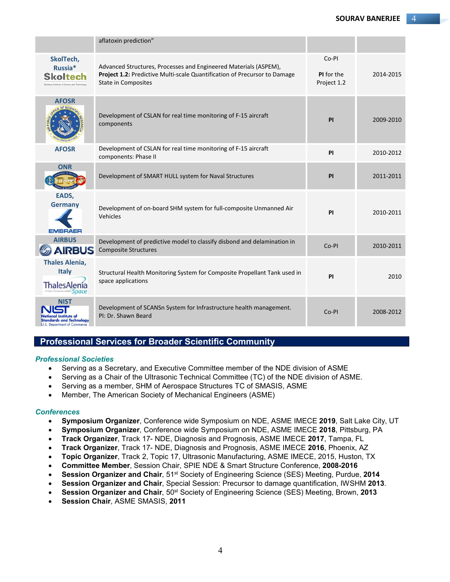|                                                                                          | aflatoxin prediction"                                                                                                                                                       |                                    |           |
|------------------------------------------------------------------------------------------|-----------------------------------------------------------------------------------------------------------------------------------------------------------------------------|------------------------------------|-----------|
| SkolTech,<br>Russia*<br>Skoltech<br>Institute of Science and                             | Advanced Structures, Processes and Engineered Materials (ASPEM),<br>Project 1.2: Predictive Multi-scale Quantification of Precursor to Damage<br><b>State in Composites</b> | Co-PI<br>PI for the<br>Project 1.2 | 2014-2015 |
| <b>AFOSR</b>                                                                             | Development of CSLAN for real time monitoring of F-15 aircraft<br>components                                                                                                | PI                                 | 2009-2010 |
| <b>AFOSR</b>                                                                             | Development of CSLAN for real time monitoring of F-15 aircraft<br>components: Phase II                                                                                      | PI                                 | 2010-2012 |
| <b>ONR</b>                                                                               | Development of SMART HULL system for Naval Structures                                                                                                                       | <b>PI</b>                          | 2011-2011 |
| EADS,<br><b>Germany</b><br><b>EMBRAER</b>                                                | Development of on-board SHM system for full-composite Unmanned Air<br>Vehicles                                                                                              | PI                                 | 2010-2011 |
| <b>AIRBUS</b><br><b>AIRBUS</b>                                                           | Development of predictive model to classify disbond and delamination in<br><b>Composite Structures</b>                                                                      | Co-PI                              | 2010-2011 |
| <b>Thales Alenia,</b><br><b>Italy</b><br><b>ThalesA</b><br>space                         | Structural Health Monitoring System for Composite Propellant Tank used in<br>space applications                                                                             | PI                                 | 2010      |
| NIST<br>al Institute o<br><b>Standards and Technology</b><br>U.S. Department of Commerce | Development of SCANSn System for Infrastructure health management.<br>PI: Dr. Shawn Beard                                                                                   | Co-PI                              | 2008-2012 |

# **Professional Services for Broader Scientific Community**

### *Professional Societies*

- Serving as a Secretary, and Executive Committee member of the NDE division of ASME
- Serving as a Chair of the Ultrasonic Technical Committee (TC) of the NDE division of ASME.
- Serving as a member, SHM of Aerospace Structures TC of SMASIS, ASME
- Member, The American Society of Mechanical Engineers (ASME)

### *Conferences*

- **Symposium Organizer**, Conference wide Symposium on NDE, ASME IMECE **2019**, Salt Lake City, UT
- **Symposium Organizer**, Conference wide Symposium on NDE, ASME IMECE **2018**, Pittsburg, PA
- **Track Organizer**, Track 17- NDE, Diagnosis and Prognosis, ASME IMECE **2017**, Tampa, FL
- **Track Organizer**, Track 17- NDE, Diagnosis and Prognosis, ASME IMECE **2016**, Phoenix, AZ
- **Topic Organizer**, Track 2, Topic 17, Ultrasonic Manufacturing, ASME IMECE, 2015, Huston, TX
- **Committee Member**, Session Chair, SPIE NDE & Smart Structure Conference, **2008-2016**
- **Session Organizer and Chair**, 51<sup>st</sup> Society of Engineering Science (SES) Meeting, Purdue, 2014
- **Session Organizer and Chair**, Special Session: Precursor to damage quantification, IWSHM **2013**.
- **Session Organizer and Chair**, 50<sup>st</sup> Society of Engineering Science (SES) Meeting, Brown, 2013
- **Session Chair**, ASME SMASIS, **2011**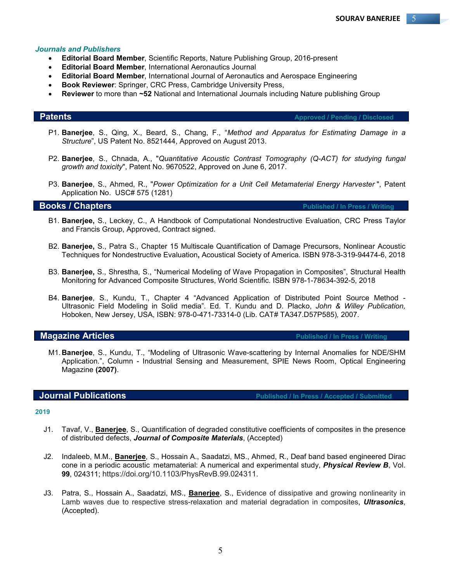#### *Journals and Publishers*

- **Editorial Board Member**, Scientific Reports, Nature Publishing Group, 2016-present
- **Editorial Board Member**, International Aeronautics Journal
- **Editorial Board Member**, International Journal of Aeronautics and Aerospace Engineering
- **Book Reviewer**: Springer, CRC Press, Cambridge University Press,
- **Reviewer** to more than **~52** National and International Journals including Nature publishing Group

**Patents Approved / Pending / Disclosed**

- P1. **Banerjee**, S., Qing, X., Beard, S., Chang, F., "*Method and Apparatus for Estimating Damage in a Structure*", US Patent No. 8521444, Approved on August 2013.
- P2. **Banerjee**, S., Chnada, A., "*Quantitative Acoustic Contrast Tomography (Q-ACT) for studying fungal growth and toxicity*", Patent No. 9670522, Approved on June 6, 2017.
- P3. **Banerjee**, S., Ahmed, R., "*Power Optimization for a Unit Cell Metamaterial Energy Harvester* ", Patent Application No. USC# 575 (1281)

**Books / Chapters Published / In Press / Writing <b>Published / In Press / Writing** 

- B1. **Banerjee,** S., Leckey, C., A Handbook of Computational Nondestructive Evaluation, CRC Press Taylor and Francis Group, Approved, Contract signed.
- B2. **Banerjee,** S., Patra S., Chapter 15 Multiscale Quantification of Damage Precursors, Nonlinear Acoustic Techniques for Nondestructive Evaluation**,** Acoustical Society of America. ISBN 978-3-319-94474-6, 2018
- B3. **Banerjee,** S., Shrestha, S., "Numerical Modeling of Wave Propagation in Composites", Structural Health Monitoring for Advanced Composite Structures, World Scientific. ISBN 978-1-78634-392-5, 2018
- B4. **Banerjee**, S., Kundu, T., Chapter 4 "Advanced Application of Distributed Point Source Method Ultrasonic Field Modeling in Solid media". Ed. T. Kundu and D. Placko, *John & Willey Publication,* Hoboken, New Jersey, USA, ISBN: 978-0-471-73314-0 (Lib. CAT# TA347.D57P585)*,* 2007.

**Magazine Articles Published / In Press / Writing 2018** 

M1.**Banerjee**, S., Kundu, T., "Modeling of Ultrasonic Wave-scattering by Internal Anomalies for NDE/SHM Application.", Column - Industrial Sensing and Measurement, SPIE News Room, Optical Engineering Magazine **(2007)**.

**Journal Publications Publications Published / In Press / Accepted / Submitted** 

### **2019**

- J1. Tavaf, V., **Banerjee**, S., Quantification of degraded constitutive coefficients of composites in the presence of distributed defects, *Journal of Composite Materials*, (Accepted)
- J2. Indaleeb, M.M., **Banerjee**, S., Hossain A., Saadatzi, MS., Ahmed, R., Deaf band based engineered Dirac cone in a periodic acoustic metamaterial: A numerical and experimental study, *Physical Review B*, Vol. **99**, 024311; https://doi.org/10.1103/PhysRevB.99.024311.
- J3. Patra, S., Hossain A., Saadatzi, MS., **Banerjee**, S., Evidence of dissipative and growing nonlinearity in Lamb waves due to respective stress-relaxation and material degradation in composites, *Ultrasonics*, (Accepted).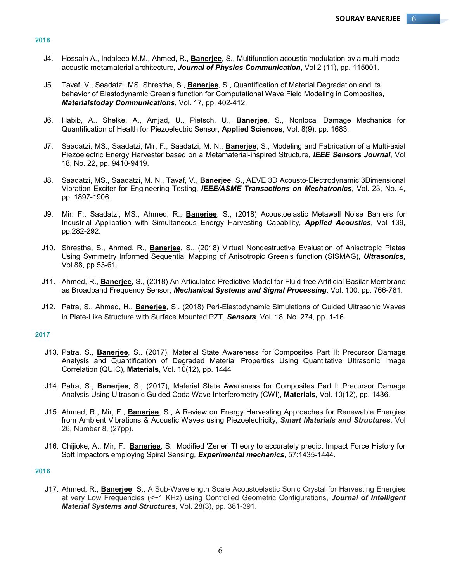#### **2018**

- J4. Hossain A., Indaleeb M.M., Ahmed, R., **Banerjee**, S., Multifunction acoustic modulation by a multi-mode acoustic metamaterial architecture, *Journal of Physics Communication*, Vol 2 (11), pp. 115001.
- J5. Tavaf, V., Saadatzi, MS, Shrestha, S., **Banerjee**, S., Quantification of Material Degradation and its behavior of Elastodynamic Green's function for Computational Wave Field Modeling in Composites, *Materialstoday Communications*, Vol. 17, pp. 402-412.
- J6. Habib, A., Shelke, A., Amjad, U., Pietsch, U., **Banerjee**, S., Nonlocal Damage Mechanics for Quantification of Health for Piezoelectric Sensor, **Applied Sciences**, Vol. 8(9), pp. 1683.
- J7. Saadatzi, MS., Saadatzi, Mir, F., Saadatzi, M. N., **Banerjee**, S., Modeling and Fabrication of a Multi-axial Piezoelectric Energy Harvester based on a Metamaterial-inspired Structure, *IEEE Sensors Journal*, Vol 18, No. 22, pp. 9410-9419.
- J8. Saadatzi, MS., Saadatzi, M. N., Tavaf, V., **Banerjee**, S., AEVE 3D Acousto-Electrodynamic 3Dimensional Vibration Exciter for Engineering Testing, *IEEE/ASME Transactions on Mechatronics*, Vol. 23, No. 4, pp. 1897-1906.
- J9. Mir. F., Saadatzi, MS., Ahmed, R., **Banerjee**, S., (2018) Acoustoelastic Metawall Noise Barriers for Industrial Application with Simultaneous Energy Harvesting Capability, *Applied Acoustics*, Vol 139, pp.282-292.
- J10. Shrestha, S., Ahmed, R., **Banerjee**, S., (2018) Virtual Nondestructive Evaluation of Anisotropic Plates Using Symmetry Informed Sequential Mapping of Anisotropic Green's function (SISMAG), *Ultrasonics,*  Vol 88, pp 53-61.
- J11. Ahmed, R., **Banerjee**, S., (2018) An Articulated Predictive Model for Fluid-free Artificial Basilar Membrane as Broadband Frequency Sensor, *Mechanical Systems and Signal Processing*, Vol. 100, pp. 766-781.
- J12. Patra, S., Ahmed, H., **Banerjee**, S., (2018) Peri-Elastodynamic Simulations of Guided Ultrasonic Waves in Plate-Like Structure with Surface Mounted PZT, *Sensors*, Vol. 18, No. 274, pp. 1-16.

#### **2017**

- J13. Patra, S., **Banerjee**, S., (2017), Material State Awareness for Composites Part II: Precursor Damage Analysis and Quantification of Degraded Material Properties Using Quantitative Ultrasonic Image Correlation (QUIC), **Materials**, Vol. 10(12), pp. 1444
- J14. Patra, S., **Banerjee**, S., (2017), Material State Awareness for Composites Part I: Precursor Damage Analysis Using Ultrasonic Guided Coda Wave Interferometry (CWI), **Materials**, Vol. 10(12), pp. 1436.
- J15. Ahmed, R., Mir, F., **Banerjee**, S., A Review on Energy Harvesting Approaches for Renewable Energies from Ambient Vibrations & Acoustic Waves using Piezoelectricity, *Smart Materials and Structures*, Vol 26, Number 8, (27pp).
- J16. Chijioke, A., Mir, F., **Banerjee**, S., Modified 'Zener' Theory to accurately predict Impact Force History for Soft Impactors employing Spiral Sensing, *Experimental mechanics*, 57:1435-1444.

#### **2016**

J17. Ahmed, R., **Banerjee**, S., A Sub-Wavelength Scale Acoustoelastic Sonic Crystal for Harvesting Energies at very Low Frequencies (<~1 KHz) using Controlled Geometric Configurations, *Journal of Intelligent Material Systems and Structures*, Vol. 28(3), pp. 381-391.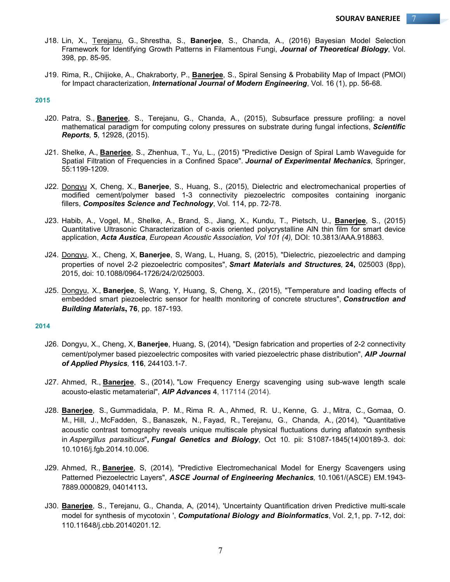- J18. Lin, X., Terejanu, G., Shrestha, S., **Banerjee**, S., Chanda, A., (2016) Bayesian Model Selection Framework for Identifying Growth Patterns in Filamentous Fungi, *Journal of Theoretical Biology*, Vol. 398, pp. 85-95.
- J19. Rima, R., Chijioke, A., Chakraborty, P., **Banerjee**, S., Spiral Sensing & Probability Map of Impact (PMOI) for Impact characterization, *International Journal of Modern Engineering*, Vol. 16 (1), pp. 56-68.

#### **2015**

- J20. Patra, S., **Banerjee**, S., Terejanu, G., Chanda, A., (2015), Subsurface pressure profiling: a novel mathematical paradigm for computing colony pressures on substrate during fungal infections, *Scientific Reports,* **5**, 12928, (2015).
- J21. Shelke, A., **Banerjee**, S., Zhenhua, T., Yu, L., (2015) "Predictive Design of Spiral Lamb Waveguide for Spatial Filtration of Frequencies in a Confined Space". *Journal of Experimental Mechanics*, Springer, 55:1199-1209.
- J22. Dongyu X, Cheng, X., **Banerjee**, S., Huang, S., (2015), Dielectric and electromechanical properties of modified cement/polymer based 1-3 connectivity piezoelectric composites containing inorganic fillers, *Composites Science and Technology*, Vol. 114, pp. 72-78.
- J23. Habib, A., Vogel, M., Shelke, A., Brand, S., Jiang, X., Kundu, T., Pietsch, U., **Banerjee**, S., (2015) Quantitative Ultrasonic Characterization of c-axis oriented polycrystalline AlN thin film for smart device application, *Acta Austica*, *European Acoustic Association, Vol 101 (4),* DOI: 10.3813/AAA.918863.
- J24. Dongyu, X., Cheng, X, **Banerjee**, S, Wang, L, Huang, S, (2015), "Dielectric, piezoelectric and damping properties of novel 2-2 piezoelectric composites", *Smart Materials and Structures,* **24,** 025003 (8pp), 2015, doi: 10.1088/0964-1726/24/2/025003.
- J25. Dongyu, X., **Banerjee**, S, Wang, Y, Huang, S, Cheng, X., (2015), "Temperature and loading effects of embedded smart piezoelectric sensor for health monitoring of concrete structures", *Construction and Building Materials***, 76**, pp. 187-193.

### **2014**

- J26. Dongyu, X., Cheng, X, **Banerjee**, Huang, S, (2014), "Design fabrication and properties of 2-2 connectivity cement/polymer based piezoelectric composites with varied piezoelectric phase distribution", *AIP Journal of Applied Physics,* **116**, 244103.1-7.
- J27. Ahmed, R., **Banerjee**, S., (2014), "Low Frequency Energy scavenging using sub-wave length scale acousto-elastic metamaterial", *AIP Advances* **4**, 117114 (2014).
- J28. **Banerjee**, S., Gummadidala, P. M., Rima R. A., Ahmed, R. U., Kenne, G. J., Mitra, C., Gomaa, O. M., Hill, J., McFadden, S., Banaszek, N., Fayad, R., Terejanu, G., Chanda, A., (2014), "Quantitative acoustic contrast tomography reveals unique multiscale physical fluctuations during aflatoxin synthesis in *Aspergillus parasiticus*"**,** *Fungal Genetics and Biology*, Oct 10. pii: S1087-1845(14)00189-3. doi: 10.1016/j.fgb.2014.10.006.
- J29. Ahmed, R., **Banerjee**, S, (2014), "Predictive Electromechanical Model for Energy Scavengers using Patterned Piezoelectric Layers", *ASCE Journal of Engineering Mechanics,* 10.1061/(ASCE) EM.1943- 7889.0000829, 04014113**.**
- J30. **Banerjee**, S., Terejanu, G., Chanda, A, (2014), 'Uncertainty Quantification driven Predictive multi-scale model for synthesis of mycotoxin ', *Computational Biology and Bioinformatics*, Vol. 2,1, pp. 7-12, doi: 110.11648/j.cbb.20140201.12.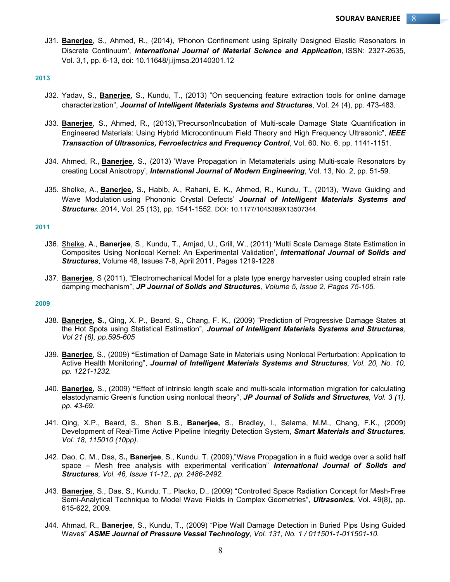J31. **Banerjee**, S., Ahmed, R., (2014), 'Phonon Confinement using Spirally Designed Elastic Resonators in Discrete Continuum', *International Journal of Material Science and Application*, ISSN: 2327-2635, Vol. 3,1, pp. 6-13, doi: 10.11648/j.ijmsa.20140301.12

### **2013**

- J32. Yadav, S., **Banerjee**, S., Kundu, T., (2013) "On sequencing feature extraction tools for online damage characterization", *Journal of Intelligent Materials Systems and Structures*, Vol. 24 (4), pp. 473-483.
- J33. **Banerjee**, S., Ahmed, R., (2013),"Precursor/Incubation of Multi-scale Damage State Quantification in Engineered Materials: Using Hybrid Microcontinuum Field Theory and High Frequency Ultrasonic", *IEEE Transaction of Ultrasonics, Ferroelectrics and Frequency Control*, Vol. 60. No. 6, pp. 1141-1151.
- J34. Ahmed, R., **Banerjee**, S., (2013) 'Wave Propagation in Metamaterials using Multi-scale Resonators by creating Local Anisotropy', *International Journal of Modern Engineering*, Vol. 13, No. 2, pp. 51-59.
- J35. Shelke, A., **Banerjee**, S., Habib, A., Rahani, E. K., Ahmed, R., Kundu, T., (2013), 'Wave Guiding and Wave Modulation using Phononic Crystal Defects' *Journal of Intelligent Materials Systems and Structures,*.2014, Vol. 25 (13), pp. 1541-1552. DOI: 10.1177/1045389X13507344.

#### **2011**

- J36. Shelke, A., **Banerjee**, S., Kundu, T., Amjad, U., Grill, W., (2011) 'Multi Scale Damage State Estimation in Composites Using Nonlocal Kernel: An Experimental Validation', *International Journal of Solids and Structures*, Volume 48, Issues 7-8, April 2011, Pages 1219-1228
- J37. **Banerjee**, S (2011), "Electromechanical Model for a plate type energy harvester using coupled strain rate damping mechanism", *JP Journal of Solids and Structures, Volume 5, Issue 2, Pages 75-105.*

### **2009**

- J38. **Banerjee, S.,** Qing, X. P., Beard, S., Chang, F. K., (2009) "Prediction of Progressive Damage States at the Hot Spots using Statistical Estimation", *Journal of Intelligent Materials Systems and Structures, Vol 21 (6), pp.595-605*
- J39. **Banerjee**, S., (2009) **"**Estimation of Damage Sate in Materials using Nonlocal Perturbation: Application to Active Health Monitoring", *Journal of Intelligent Materials Systems and Structures, Vol. 20, No. 10, pp. 1221-1232.*
- J40. **Banerjee,** S., (2009) **"**Effect of intrinsic length scale and multi-scale information migration for calculating elastodynamic Green's function using nonlocal theory", *JP Journal of Solids and Structures, Vol. 3 (1), pp. 43-69.*
- J41. Qing, X.P., Beard, S., Shen S.B., **Banerjee,** S., Bradley, I., Salama, M.M., Chang, F.K., (2009) Development of Real-Time Active Pipeline Integrity Detection System, *Smart Materials and Structures, Vol. 18, 115010 (10pp).*
- J42. Dao, C. M., Das, S**., Banerjee**, S., Kundu. T. (2009),"Wave Propagation in a fluid wedge over a solid half space – Mesh free analysis with experimental verification" *International Journal of Solids and Structures, Vol. 46, Issue 11-12., pp. 2486-2492.*
- J43. **Banerjee**, S., Das, S., Kundu, T., Placko, D., (2009) "Controlled Space Radiation Concept for Mesh-Free Semi-Analytical Technique to Model Wave Fields in Complex Geometries", *Ultrasonics,* Vol. 49(8), pp. 615-622, 2009*.*
- J44. Ahmad, R., **Banerjee**, S., Kundu, T., (2009) "Pipe Wall Damage Detection in Buried Pips Using Guided Waves" *ASME Journal of Pressure Vessel Technology, Vol. 131, No. 1 / 011501-1-011501-10.*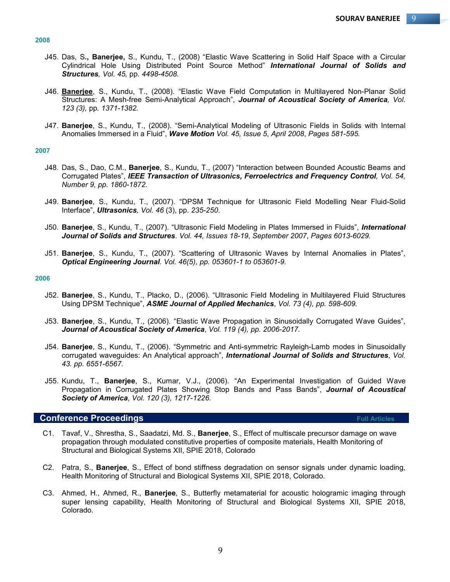- J45. Das, S**., Banerjee,** S., Kundu, T., (2008) "Elastic Wave Scattering in Solid Half Space with a Circular Cylindrical Hole Using Distributed Point Source Method" *International Journal of Solids and Structures, Vol. 45,* pp*. 4498-4508.*
- J46. **Banerjee**, S., Kundu, T., (2008). "Elastic Wave Field Computation in Multilayered Non-Planar Solid Structures: A Mesh-free Semi-Analytical Approach", *Journal of Acoustical Society of America, Vol. 123 (3),* pp*. 1371-1382.*
- J47. **Banerjee**, S., Kundu, T., (2008). "Semi-Analytical Modeling of Ultrasonic Fields in Solids with Internal Anomalies Immersed in a Fluid", *Wave Motion Vol. 45, Issue 5*, *April 2008*, *Pages 581-595.*

#### **2007**

- J48. Das, S., Dao, C.M., **Banerjee**, S., Kundu, T., (2007) "Interaction between Bounded Acoustic Beams and Corrugated Plates", *IEEE Transaction of Ultrasonics, Ferroelectrics and Frequency Control, Vol. 54, Number 9, pp. 1860-1872.*
- J49. **Banerjee**, S., Kundu, T., (2007). "DPSM Technique for Ultrasonic Field Modelling Near Fluid-Solid Interface", *Ultrasonics, Vol. 46* (3), pp. *235-250*.
- J50. **Banerjee**, S., Kundu, T., (2007). "Ultrasonic Field Modeling in Plates Immersed in Fluids", *International Journal of Solids and Structures*. *Vol. 44, Issues 18-19*, *September 2007*, *Pages 6013-6029.*
- J51. **Banerjee**, S., Kundu, T., (2007). "Scattering of Ultrasonic Waves by Internal Anomalies in Plates", *Optical Engineering Journal. Vol. 46(5), pp. 053601-1 to 053601-9.*

### **2006**

- J52. **Banerjee**, S., Kundu, T., Placko, D., (2006). "Ultrasonic Field Modeling in Multilayered Fluid Structures Using DPSM Technique", *ASME Journal of Applied Mechanics*, *Vol. 73 (4), pp. 598-609.*
- J53. **Banerjee**, S., Kundu, T., (2006). "Elastic Wave Propagation in Sinusoidally Corrugated Wave Guides", *Journal of Acoustical Society of America*, *Vol. 119 (4), pp. 2006-2017.*
- J54. **Banerjee**, S., Kundu, T., (2006). "Symmetric and Anti-symmetric Rayleigh-Lamb modes in Sinusoidally corrugated waveguides: An Analytical approach", *International Journal of Solids and Structures*, *Vol. 43. pp. 6551-6567.*
- J55. Kundu, T., **Banerjee**, S., Kumar, V.J., (2006). "An Experimental Investigation of Guided Wave Propagation in Corrugated Plates Showing Stop Bands and Pass Bands", *Journal of Acoustical Society of America*, *Vol. 120 (3), 1217-1226.*

# **Conference Proceedings Full Articles** Full Articles

- C1. Tavaf, V., Shrestha, S., Saadatzi, Md. S., **Banerjee**, S., Effect of multiscale precursor damage on wave propagation through modulated constitutive properties of composite materials, Health Monitoring of Structural and Biological Systems XII, SPIE 2018, Colorado
- C2. Patra, S., **Banerjee**, S., Effect of bond stiffness degradation on sensor signals under dynamic loading, Health Monitoring of Structural and Biological Systems XII, SPIE 2018, Colorado.
- C3. Ahmed, H., Ahmed, R., **Banerjee**, S., Butterfly metamaterial for acoustic hologramic imaging through super lensing capability, Health Monitoring of Structural and Biological Systems XII, SPIE 2018, Colorado.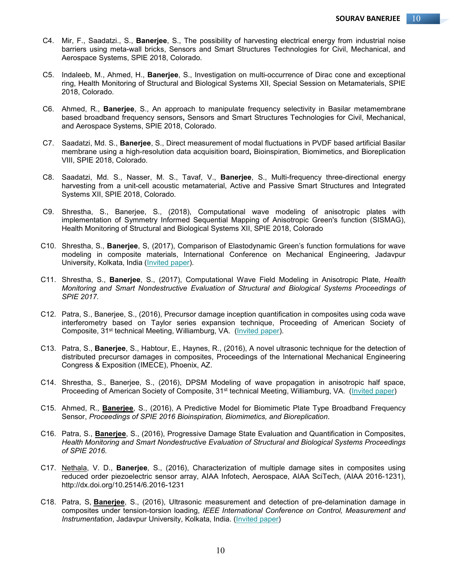- C4. Mir, F., Saadatzi., S., **Banerjee**, S., The possibility of harvesting electrical energy from industrial noise barriers using meta-wall bricks, Sensors and Smart Structures Technologies for Civil, Mechanical, and Aerospace Systems, SPIE 2018, Colorado.
- C5. Indaleeb, M., Ahmed, H., **Banerjee**, S., Investigation on multi-occurrence of Dirac cone and exceptional ring, Health Monitoring of Structural and Biological Systems XII, Special Session on Metamaterials, SPIE 2018, Colorado.
- C6. Ahmed, R., **Banerjee**, S., An approach to manipulate frequency selectivity in Basilar metamembrane based broadband frequency sensors**,** Sensors and Smart Structures Technologies for Civil, Mechanical, and Aerospace Systems, SPIE 2018, Colorado.
- C7. Saadatzi, Md. S., **Banerjee**, S., Direct measurement of modal fluctuations in PVDF based artificial Basilar membrane using a high-resolution data acquisition board**,** Bioinspiration, Biomimetics, and Bioreplication VIII, SPIE 2018, Colorado.
- C8. Saadatzi, Md. S., Nasser, M. S., Tavaf, V., **Banerjee**, S., Multi-frequency three-directional energy harvesting from a unit-cell acoustic metamaterial, Active and Passive Smart Structures and Integrated Systems XII, SPIE 2018, Colorado.
- C9. Shrestha, S., Banerjee, S., (2018), Computational wave modeling of anisotropic plates with implementation of Symmetry Informed Sequential Mapping of Anisotropic Green's function (SISMAG), Health Monitoring of Structural and Biological Systems XII, SPIE 2018, Colorado
- C10. Shrestha, S., **Banerjee**, S, (2017), Comparison of Elastodynamic Green's function formulations for wave modeling in composite materials, International Conference on Mechanical Engineering, Jadavpur University, Kolkata, India (Invited paper).
- C11. Shrestha, S., **Banerjee**, S., (2017), Computational Wave Field Modeling in Anisotropic Plate, *Health Monitoring and Smart Nondestructive Evaluation of Structural and Biological Systems Proceedings of SPIE 2017.*
- C12. Patra, S., Banerjee, S., (2016), Precursor damage inception quantification in composites using coda wave interferometry based on Taylor series expansion technique, Proceeding of American Society of Composite, 31<sup>st</sup> technical Meeting, Williamburg, VA. (Invited paper).
- C13. Patra, S., **Banerjee**, S., Habtour, E., Haynes, R., (2016), A novel ultrasonic technique for the detection of distributed precursor damages in composites, Proceedings of the International Mechanical Engineering Congress & Exposition (IMECE), Phoenix, AZ.
- C14. Shrestha, S., Banerjee, S., (2016), DPSM Modeling of wave propagation in anisotropic half space, Proceeding of American Society of Composite, 31<sup>st</sup> technical Meeting, Williamburg, VA. (Invited paper)
- C15. Ahmed, R., **Banerjee**, S., (2016), A Predictive Model for Biomimetic Plate Type Broadband Frequency Sensor, *Proceedings of SPIE 2016 Bioinspiration, Biomimetics, and Bioreplication*.
- C16. Patra, S., **Banerjee**, S., (2016), Progressive Damage State Evaluation and Quantification in Composites, *Health Monitoring and Smart Nondestructive Evaluation of Structural and Biological Systems Proceedings of SPIE 2016.*
- C17. Nethala, V. D., **Banerjee**, S., (2016), Characterization of multiple damage sites in composites using reduced order piezoelectric sensor array, AIAA Infotech, Aerospace, AIAA SciTech, (AIAA 2016-1231), http://dx.doi.org/10.2514/6.2016-1231
- C18. Patra, S, **Banerjee**, S., (2016), Ultrasonic measurement and detection of pre-delamination damage in composites under tension-torsion loading, *IEEE International Conference on Control, Measurement and Instrumentation*, Jadavpur University, Kolkata, India. (Invited paper)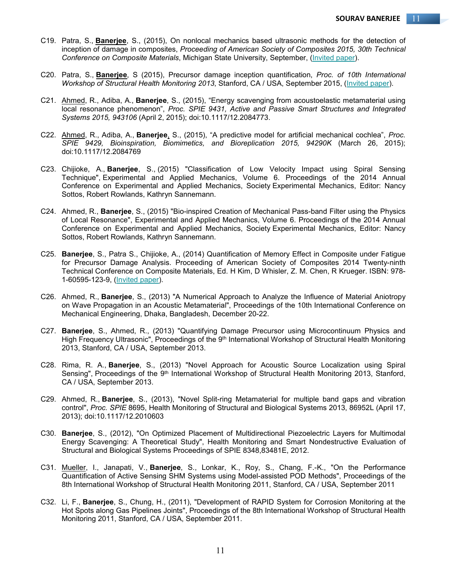- C19. Patra, S., **Banerjee**, S., (2015), On nonlocal mechanics based ultrasonic methods for the detection of inception of damage in composites, *Proceeding of American Society of Composites 2015, 30th Technical Conference on Composite Materials*, Michigan State University, September, (Invited paper).
- C20. Patra, S., **Banerjee**, S (2015), Precursor damage inception quantification, *Proc. of 10th International Workshop of Structural Health Monitoring 2013*, Stanford, CA / USA, September 2015, (Invited paper).
- C21. Ahmed, R., Adiba, A., **Banerjee**, S., (2015), "Energy scavenging from acoustoelastic metamaterial using local resonance phenomenon", *Proc. SPIE 9431, Active and Passive Smart Structures and Integrated Systems 2015, 943106* (April 2, 2015); doi:10.1117/12.2084773.
- C22. Ahmed, R., Adiba, A., **Banerjee**, S., (2015), "A predictive model for artificial mechanical cochlea", *Proc. SPIE 9429, Bioinspiration, Biomimetics, and Bioreplication 2015, 94290K* (March 26, 2015); doi:10.1117/12.2084769
- C23. Chijioke, A., **Banerjee**, S., (2015) "Classification of Low Velocity Impact using Spiral Sensing Technique", Experimental and Applied Mechanics, Volume 6. Proceedings of the 2014 Annual Conference on Experimental and Applied Mechanics, Society Experimental Mechanics, Editor: Nancy Sottos, Robert Rowlands, Kathryn Sannemann.
- C24. Ahmed, R., **Banerjee**, S., (2015) "Bio-inspired Creation of Mechanical Pass-band Filter using the Physics of Local Resonance", Experimental and Applied Mechanics, Volume 6. Proceedings of the 2014 Annual Conference on Experimental and Applied Mechanics, Society Experimental Mechanics, Editor: Nancy Sottos, Robert Rowlands, Kathryn Sannemann.
- C25. **Banerjee**, S., Patra S., Chijioke, A., (2014) Quantification of Memory Effect in Composite under Fatigue for Precursor Damage Analysis. Proceeding of American Society of Composites 2014 Twenty-ninth Technical Conference on Composite Materials, Ed. H Kim, D Whisler, Z. M. Chen, R Krueger. ISBN: 978- 1-60595-123-9, (Invited paper).
- C26. Ahmed, R., **Banerjee**, S., (2013) "A Numerical Approach to Analyze the Influence of Material Aniotropy on Wave Propagation in an Acoustic Metamaterial", Proceedings of the 10th International Conference on Mechanical Engineering, Dhaka, Bangladesh, December 20-22.
- C27. **Banerjee**, S., Ahmed, R., (2013) "Quantifying Damage Precursor using Microcontinuum Physics and High Frequency Ultrasonic", Proceedings of the 9<sup>th</sup> International Workshop of Structural Health Monitoring 2013, Stanford, CA / USA, September 2013.
- C28. Rima, R. A., **Banerjee**, S., (2013) "Novel Approach for Acoustic Source Localization using Spiral Sensing", Proceedings of the 9<sup>th</sup> International Workshop of Structural Health Monitoring 2013, Stanford, CA / USA, September 2013.
- C29. Ahmed, R., **Banerjee**, S., (2013), "Novel Split-ring Metamaterial for multiple band gaps and vibration control", *Proc. SPIE* 8695, Health Monitoring of Structural and Biological Systems 2013, 86952L (April 17, 2013); doi:10.1117/12.2010603
- C30. **Banerjee**, S., (2012), "On Optimized Placement of Multidirectional Piezoelectric Layers for Multimodal Energy Scavenging: A Theoretical Study", Health Monitoring and Smart Nondestructive Evaluation of Structural and Biological Systems Proceedings of SPIE 8348,83481E, 2012.
- C31. Mueller, I., Janapati, V., **Banerjee**, S., Lonkar, K., Roy, S., Chang, F.-K., "On the Performance Quantification of Active Sensing SHM Systems using Model-assisted POD Methods", Proceedings of the 8th International Workshop of Structural Health Monitoring 2011, Stanford, CA / USA, September 2011
- C32. Li, F., **Banerjee**, S., Chung, H., (2011), "Development of RAPID System for Corrosion Monitoring at the Hot Spots along Gas Pipelines Joints", Proceedings of the 8th International Workshop of Structural Health Monitoring 2011, Stanford, CA / USA, September 2011.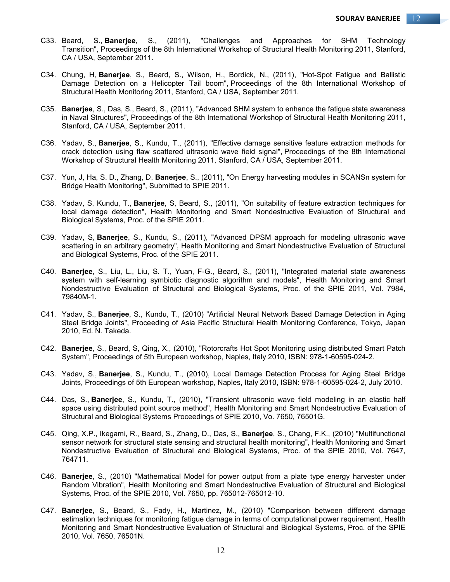- C33. Beard, S., **Banerjee**, S., (2011), "Challenges and Approaches for SHM Technology Transition", Proceedings of the 8th International Workshop of Structural Health Monitoring 2011, Stanford, CA / USA, September 2011.
- C34. Chung, H, **Banerjee**, S., Beard, S., Wilson, H., Bordick, N., (2011), "Hot-Spot Fatigue and Ballistic Damage Detection on a Helicopter Tail boom", Proceedings of the 8th International Workshop of Structural Health Monitoring 2011, Stanford, CA / USA, September 2011.
- C35. **Banerjee**, S., Das, S., Beard, S., (2011), "Advanced SHM system to enhance the fatigue state awareness in Naval Structures", Proceedings of the 8th International Workshop of Structural Health Monitoring 2011, Stanford, CA / USA, September 2011.
- C36. Yadav, S., **Banerjee**, S., Kundu, T., (2011), "Effective damage sensitive feature extraction methods for crack detection using flaw scattered ultrasonic wave field signal", Proceedings of the 8th International Workshop of Structural Health Monitoring 2011, Stanford, CA / USA, September 2011.
- C37. Yun, J, Ha, S. D., Zhang, D, **Banerjee**, S., (2011), "On Energy harvesting modules in SCANSn system for Bridge Health Monitoring", Submitted to SPIE 2011.
- C38. Yadav, S, Kundu, T., **Banerjee**, S, Beard, S., (2011), "On suitability of feature extraction techniques for local damage detection", Health Monitoring and Smart Nondestructive Evaluation of Structural and Biological Systems, Proc. of the SPIE 2011.
- C39. Yadav, S, **Banerjee**, S., Kundu, S., (2011), "Advanced DPSM approach for modeling ultrasonic wave scattering in an arbitrary geometry", Health Monitoring and Smart Nondestructive Evaluation of Structural and Biological Systems, Proc. of the SPIE 2011.
- C40. **Banerjee**, S., Liu, L., Liu, S. T., Yuan, F-G., Beard, S., (2011), "Integrated material state awareness system with self-learning symbiotic diagnostic algorithm and models", Health Monitoring and Smart Nondestructive Evaluation of Structural and Biological Systems, Proc. of the SPIE 2011, Vol. 7984, 79840M-1.
- C41. Yadav, S., **Banerjee**, S., Kundu, T., (2010) "Artificial Neural Network Based Damage Detection in Aging Steel Bridge Joints", Proceeding of Asia Pacific Structural Health Monitoring Conference, Tokyo, Japan 2010, Ed. N. Takeda.
- C42. **Banerjee**, S., Beard, S, Qing, X., (2010), "Rotorcrafts Hot Spot Monitoring using distributed Smart Patch System", Proceedings of 5th European workshop, Naples, Italy 2010, ISBN: 978-1-60595-024-2.
- C43. Yadav, S., **Banerjee**, S., Kundu, T., (2010), Local Damage Detection Process for Aging Steel Bridge Joints, Proceedings of 5th European workshop, Naples, Italy 2010, ISBN: 978-1-60595-024-2, July 2010.
- C44. Das, S., **Banerjee**, S., Kundu, T., (2010), "Transient ultrasonic wave field modeling in an elastic half space using distributed point source method", Health Monitoring and Smart Nondestructive Evaluation of Structural and Biological Systems Proceedings of SPIE 2010, Vo. 7650, 76501G.
- C45. Qing, X.P., Ikegami, R., Beard, S., Zhang, D., Das, S., **Banerjee**, S., Chang, F.K., (2010) "Multifunctional sensor network for structural state sensing and structural health monitoring", Health Monitoring and Smart Nondestructive Evaluation of Structural and Biological Systems, Proc. of the SPIE 2010, Vol. 7647, 764711.
- C46. **Banerjee**, S., (2010) "Mathematical Model for power output from a plate type energy harvester under Random Vibration", Health Monitoring and Smart Nondestructive Evaluation of Structural and Biological Systems, Proc. of the SPIE 2010, Vol. 7650, pp. 765012-765012-10.
- C47. **Banerjee**, S., Beard, S., Fady, H., Martinez, M., (2010) "Comparison between different damage estimation techniques for monitoring fatigue damage in terms of computational power requirement, Health Monitoring and Smart Nondestructive Evaluation of Structural and Biological Systems, Proc. of the SPIE 2010, Vol. 7650, 76501N.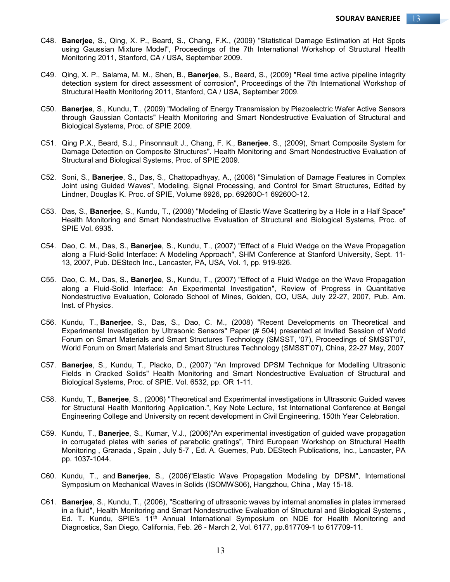- C48. **Banerjee**, S., Qing, X. P., Beard, S., Chang, F.K., (2009) "Statistical Damage Estimation at Hot Spots using Gaussian Mixture Model", Proceedings of the 7th International Workshop of Structural Health Monitoring 2011, Stanford, CA / USA, September 2009.
- C49. Qing, X. P., Salama, M. M., Shen, B., **Banerjee**, S., Beard, S., (2009) "Real time active pipeline integrity detection system for direct assessment of corrosion", Proceedings of the 7th International Workshop of Structural Health Monitoring 2011, Stanford, CA / USA, September 2009.
- C50. **Banerjee**, S., Kundu, T., (2009) "Modeling of Energy Transmission by Piezoelectric Wafer Active Sensors through Gaussian Contacts" Health Monitoring and Smart Nondestructive Evaluation of Structural and Biological Systems, Proc. of SPIE 2009.
- C51. Qing P.X., Beard, S.J., Pinsonnault J., Chang, F. K., **Banerjee**, S., (2009), Smart Composite System for Damage Detection on Composite Structures". Health Monitoring and Smart Nondestructive Evaluation of Structural and Biological Systems, Proc. of SPIE 2009.
- C52. Soni, S., **Banerjee**, S., Das, S., Chattopadhyay, A., (2008) "Simulation of Damage Features in Complex Joint using Guided Waves", Modeling, Signal Processing, and Control for Smart Structures, Edited by Lindner, Douglas K. Proc. of SPIE, Volume 6926, pp. 69260O-1 69260O-12.
- C53. Das, S., **Banerjee**, S., Kundu, T., (2008) "Modeling of Elastic Wave Scattering by a Hole in a Half Space" Health Monitoring and Smart Nondestructive Evaluation of Structural and Biological Systems, Proc. of SPIE Vol. 6935.
- C54. Dao, C. M., Das, S., **Banerjee**, S., Kundu, T., (2007) "Effect of a Fluid Wedge on the Wave Propagation along a Fluid-Solid Interface: A Modeling Approach", SHM Conference at Stanford University, Sept. 11- 13, 2007, Pub. DEStech Inc., Lancaster, PA, USA, Vol. 1, pp. 919-926.
- C55. Dao, C. M., Das, S., **Banerjee**, S., Kundu, T., (2007) "Effect of a Fluid Wedge on the Wave Propagation along a Fluid-Solid Interface: An Experimental Investigation", Review of Progress in Quantitative Nondestructive Evaluation, Colorado School of Mines, Golden, CO, USA, July 22-27, 2007, Pub. Am. Inst. of Physics.
- C56. Kundu, T., **Banerjee**, S., Das, S., Dao, C. M., (2008) "Recent Developments on Theoretical and Experimental Investigation by Ultrasonic Sensors" Paper (# 504) presented at Invited Session of World Forum on Smart Materials and Smart Structures Technology (SMSST, '07), Proceedings of SMSST'07, World Forum on Smart Materials and Smart Structures Technology (SMSST'07), China, 22-27 May, 2007
- C57. **Banerjee**, S., Kundu, T., Placko, D., (2007) "An Improved DPSM Technique for Modelling Ultrasonic Fields in Cracked Solids" Health Monitoring and Smart Nondestructive Evaluation of Structural and Biological Systems, Proc. of SPIE. Vol. 6532, pp. OR 1-11.
- C58. Kundu, T., **Banerjee**, S., (2006) "Theoretical and Experimental investigations in Ultrasonic Guided waves for Structural Health Monitoring Application.", Key Note Lecture, 1st International Conference at Bengal Engineering College and University on recent development in Civil Engineering, 150th Year Celebration.
- C59. Kundu, T., **Banerjee**, S., Kumar, V.J., (2006)"An experimental investigation of guided wave propagation in corrugated plates with series of parabolic gratings", Third European Workshop on Structural Health Monitoring , Granada , Spain , July 5-7 , Ed. A. Guemes, Pub. DEStech Publications, Inc., Lancaster, PA pp. 1037-1044.
- C60. Kundu, T., and **Banerjee**, S., (2006)"Elastic Wave Propagation Modeling by DPSM", International Symposium on Mechanical Waves in Solids (ISOMWS06), Hangzhou, China , May 15-18.
- C61. **Banerjee**, S., Kundu, T., (2006), "Scattering of ultrasonic waves by internal anomalies in plates immersed in a fluid", Health Monitoring and Smart Nondestructive Evaluation of Structural and Biological Systems , Ed. T. Kundu, SPIE's 11th Annual International Symposium on NDE for Health Monitoring and Diagnostics, San Diego, California, Feb. 26 - March 2, Vol. 6177, pp.617709-1 to 617709-11.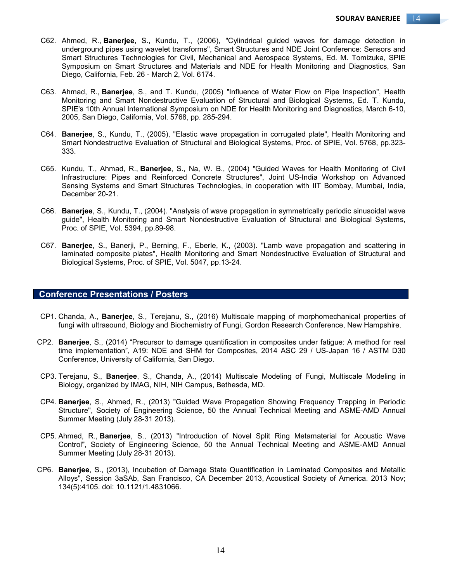- C62. Ahmed, R., **Banerjee**, S., Kundu, T., (2006), "Cylindrical guided waves for damage detection in underground pipes using wavelet transforms", Smart Structures and NDE Joint Conference: Sensors and Smart Structures Technologies for Civil, Mechanical and Aerospace Systems, Ed. M. Tomizuka, SPIE Symposium on Smart Structures and Materials and NDE for Health Monitoring and Diagnostics, San Diego, California, Feb. 26 - March 2, Vol. 6174.
- C63. Ahmad, R., **Banerjee**, S., and T. Kundu, (2005) "Influence of Water Flow on Pipe Inspection", Health Monitoring and Smart Nondestructive Evaluation of Structural and Biological Systems, Ed. T. Kundu, SPIE's 10th Annual International Symposium on NDE for Health Monitoring and Diagnostics, March 6-10, 2005, San Diego, California, Vol. 5768, pp. 285-294.
- C64. **Banerjee**, S., Kundu, T., (2005), "Elastic wave propagation in corrugated plate", Health Monitoring and Smart Nondestructive Evaluation of Structural and Biological Systems, Proc. of SPIE, Vol. 5768, pp.323- 333.
- C65. Kundu, T., Ahmad, R., **Banerjee**, S., Na, W. B., (2004) "Guided Waves for Health Monitoring of Civil Infrastructure: Pipes and Reinforced Concrete Structures", Joint US-India Workshop on Advanced Sensing Systems and Smart Structures Technologies, in cooperation with IIT Bombay, Mumbai, India, December 20-21.
- C66. **Banerjee**, S., Kundu, T., (2004). "Analysis of wave propagation in symmetrically periodic sinusoidal wave guide", Health Monitoring and Smart Nondestructive Evaluation of Structural and Biological Systems, Proc. of SPIE, Vol. 5394, pp.89-98.
- C67. **Banerjee**, S., Banerji, P., Berning, F., Eberle, K., (2003). "Lamb wave propagation and scattering in laminated composite plates", Health Monitoring and Smart Nondestructive Evaluation of Structural and Biological Systems, Proc. of SPIE, Vol. 5047, pp.13-24.

## **Conference Presentations / Posters**

- CP1. Chanda, A., **Banerjee**, S., Terejanu, S., (2016) Multiscale mapping of morphomechanical properties of fungi with ultrasound, Biology and Biochemistry of Fungi, Gordon Research Conference, New Hampshire.
- CP2. **Banerjee**, S., (2014) "Precursor to damage quantification in composites under fatigue: A method for real time implementation", A19: NDE and SHM for Composites, 2014 ASC 29 / US-Japan 16 / ASTM D30 Conference, University of California, San Diego.
- CP3. Terejanu, S., **Banerjee**, S., Chanda, A., (2014) Multiscale Modeling of Fungi, Multiscale Modeling in Biology, organized by IMAG, NIH, NIH Campus, Bethesda, MD.
- CP4. **Banerjee**, S., Ahmed, R., (2013) "Guided Wave Propagation Showing Frequency Trapping in Periodic Structure", Society of Engineering Science, 50 the Annual Technical Meeting and ASME-AMD Annual Summer Meeting (July 28-31 2013).
- CP5. Ahmed, R., **Banerjee**, S., (2013) "Introduction of Novel Split Ring Metamaterial for Acoustic Wave Control", Society of Engineering Science, 50 the Annual Technical Meeting and ASME-AMD Annual Summer Meeting (July 28-31 2013).
- CP6. **Banerjee**, S., (2013), Incubation of Damage State Quantification in Laminated Composites and Metallic Alloys", Session 3aSAb, San Francisco, CA December 2013, Acoustical Society of America. 2013 Nov; 134(5):4105. doi: 10.1121/1.4831066.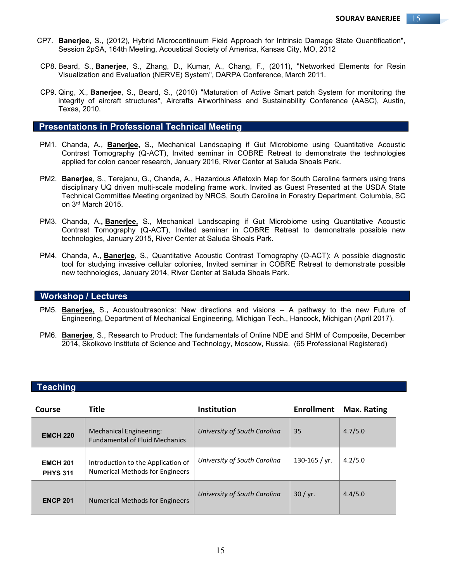- CP7. **Banerjee**, S., (2012), Hybrid Microcontinuum Field Approach for Intrinsic Damage State Quantification", Session 2pSA, 164th Meeting, Acoustical Society of America, Kansas City, MO, 2012
- CP8. Beard, S., **Banerjee**, S., Zhang, D., Kumar, A., Chang, F., (2011), "Networked Elements for Resin Visualization and Evaluation (NERVE) System", DARPA Conference, March 2011.
- CP9. Qing, X., **Banerjee**, S., Beard, S., (2010) "Maturation of Active Smart patch System for monitoring the integrity of aircraft structures", Aircrafts Airworthiness and Sustainability Conference (AASC), Austin, Texas, 2010.

# **Presentations in Professional Technical Meeting**

- PM1. Chanda, A., **Banerjee,** S., Mechanical Landscaping if Gut Microbiome using Quantitative Acoustic Contrast Tomography (Q-ACT), Invited seminar in COBRE Retreat to demonstrate the technologies applied for colon cancer research, January 2016, River Center at Saluda Shoals Park.
- PM2. **Banerjee**, S., Terejanu, G., Chanda, A., Hazardous Aflatoxin Map for South Carolina farmers using trans disciplinary UQ driven multi-scale modeling frame work. Invited as Guest Presented at the USDA State Technical Committee Meeting organized by NRCS, South Carolina in Forestry Department, Columbia, SC on 3rd March 2015.
- PM3. Chanda, A.**, Banerjee,** S., Mechanical Landscaping if Gut Microbiome using Quantitative Acoustic Contrast Tomography (Q-ACT), Invited seminar in COBRE Retreat to demonstrate possible new technologies, January 2015, River Center at Saluda Shoals Park.
- PM4. Chanda, A., **Banerjee**, S., Quantitative Acoustic Contrast Tomography (Q-ACT): A possible diagnostic tool for studying invasive cellular colonies, Invited seminar in COBRE Retreat to demonstrate possible new technologies, January 2014, River Center at Saluda Shoals Park.

# **Workshop / Lectures**

- PM5. **Banerjee,** S.**,** Acoustoultrasonics: New directions and visions A pathway to the new Future of Engineering, Department of Mechanical Engineering, Michigan Tech., Hancock, Michigan (April 2017).
- PM6. **Banerjee**, S., Research to Product: The fundamentals of Online NDE and SHM of Composite, December 2014, Skolkovo Institute of Science and Technology, Moscow, Russia. (65 Professional Registered)

### **Teaching**

| Course                             | Title                                                                 | <b>Institution</b>           | <b>Enrollment</b> | <b>Max. Rating</b> |
|------------------------------------|-----------------------------------------------------------------------|------------------------------|-------------------|--------------------|
| <b>EMCH 220</b>                    | Mechanical Engineering:<br><b>Fundamental of Fluid Mechanics</b>      | University of South Carolina | 35                | 4.7/5.0            |
| <b>EMCH 201</b><br><b>PHYS 311</b> | Introduction to the Application of<br>Numerical Methods for Engineers | University of South Carolina | 130-165 / yr.     | 4.2/5.0            |
| <b>ENCP 201</b>                    | Numerical Methods for Engineers                                       | University of South Carolina | 30 / yr.          | 4.4/5.0            |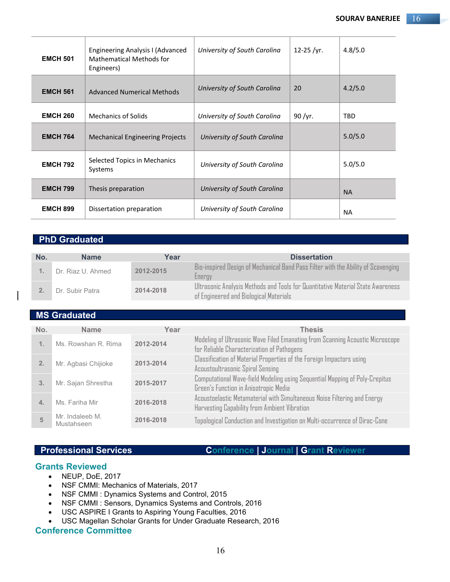| <b>EMCH 501</b> | Engineering Analysis I (Advanced<br><b>Mathematical Methods for</b><br>Engineers) | University of South Carolina | 12-25 /yr. | 4.8/5.0    |
|-----------------|-----------------------------------------------------------------------------------|------------------------------|------------|------------|
| <b>EMCH 561</b> | <b>Advanced Numerical Methods</b>                                                 | University of South Carolina | 20         | 4.2/5.0    |
| <b>EMCH 260</b> | <b>Mechanics of Solids</b>                                                        | University of South Carolina | 90/yr.     | <b>TBD</b> |
| <b>EMCH 764</b> | <b>Mechanical Engineering Projects</b>                                            | University of South Carolina |            | 5.0/5.0    |
| <b>EMCH 792</b> | Selected Topics in Mechanics<br>Systems                                           | University of South Carolina |            | 5.0/5.0    |
| <b>EMCH 799</b> | Thesis preparation                                                                | University of South Carolina |            | <b>NA</b>  |
| <b>EMCH 899</b> | Dissertation preparation                                                          | University of South Carolina |            | <b>NA</b>  |

# **PhD Graduated**

| No. | <b>Name</b>       | Year      | <b>Dissertation</b>                                                                                                       |
|-----|-------------------|-----------|---------------------------------------------------------------------------------------------------------------------------|
|     | Dr. Riaz U. Ahmed | 2012-2015 | Bio-inspired Design of Mechanical Band Pass Filter with the Ability of Scavenging<br>Energy                               |
|     | Dr. Subir Patra   | 2014-2018 | Ultrasonic Analysis Methods and Tools for Quantitative Material State Awareness<br>of Engineered and Biological Materials |

# **MS Graduated**

| No.            | <b>Name</b>                   | Year      | <b>Thesis</b>                                                                                                               |
|----------------|-------------------------------|-----------|-----------------------------------------------------------------------------------------------------------------------------|
| $\mathbf{1}$ . | Ms. Rowshan R. Rima           | 2012-2014 | Modeling of Ultrasonic Wave Filed Emanating from Scanning Acoustic Microscope<br>for Reliable Characterization of Pathogens |
| 2.             | Mr. Agbasi Chijioke           | 2013-2014 | Classification of Material Properties of the Foreign Impactors using<br>Acoustoultrasonic Spiral Sensing                    |
| 3.             | Mr. Sajan Shrestha            | 2015-2017 | Computational Wave-field Modeling using Sequential Mapping of Poly-Crepitus<br>Green's Function in Anisotropic Media        |
| 4.             | Ms. Fariha Mir                | 2016-2018 | Acoustoelastic Metamaterial with Simultaneous Noise Filtering and Energy<br>Harvesting Capability from Ambient Vibration    |
| 5              | Mr. Indaleeb M.<br>Mustahseen | 2016-2018 | Topological Conduction and Investigation on Multi-occurrence of Dirac-Cone                                                  |

**Professional Services Conference | Journal | Grant Reviewer**

# **Grants Reviewed**

- NEUP, DoE, 2017
- NSF CMMI: Mechanics of Materials, 2017
- NSF CMMI : Dynamics Systems and Control, 2015
- NSF CMMI : Sensors, Dynamics Systems and Controls, 2016
- USC ASPIRE I Grants to Aspiring Young Faculties, 2016
- USC Magellan Scholar Grants for Under Graduate Research, 2016

# **Conference Committee**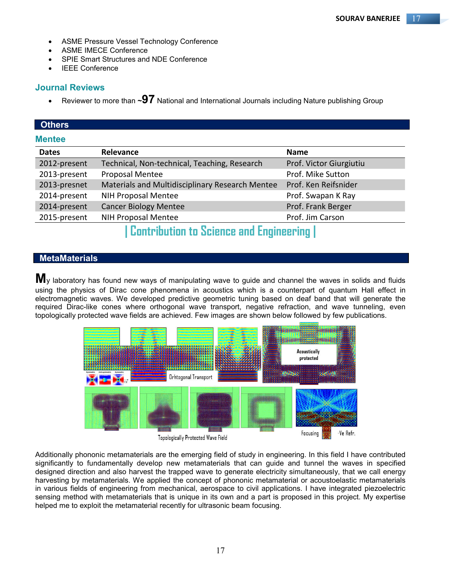- ASME Pressure Vessel Technology Conference
- ASME IMECE Conference
- SPIE Smart Structures and NDE Conference
- IEEE Conference

# **Journal Reviews**

Reviewer to more than **~97** National and International Journals including Nature publishing Group

# **Others**

## **Mentee**

| Relevance                                       | <b>Name</b>             |
|-------------------------------------------------|-------------------------|
| Technical, Non-technical, Teaching, Research    | Prof. Victor Giurgiutiu |
| Proposal Mentee                                 | Prof. Mike Sutton       |
| Materials and Multidisciplinary Research Mentee | Prof. Ken Reifsnider    |
| <b>NIH Proposal Mentee</b>                      | Prof. Swapan K Ray      |
| <b>Cancer Biology Mentee</b>                    | Prof. Frank Berger      |
| NIH Proposal Mentee                             | Prof. Jim Carson        |
|                                                 |                         |

# **| Contribution to Science and Engineering |**

# **MetaMaterials**

**M**y laboratory has found new ways of manipulating wave to guide and channel the waves in solids and fluids using the physics of Dirac cone phenomena in acoustics which is a counterpart of quantum Hall effect in electromagnetic waves. We developed predictive geometric tuning based on deaf band that will generate the required Dirac-like cones where orthogonal wave transport, negative refraction, and wave tunneling, even topologically protected wave fields are achieved. Few images are shown below followed by few publications.



Topologically Protected Wave Field

Additionally phononic metamaterials are the emerging field of study in engineering. In this field I have contributed significantly to fundamentally develop new metamaterials that can guide and tunnel the waves in specified designed direction and also harvest the trapped wave to generate electricity simultaneously, that we call energy harvesting by metamaterials. We applied the concept of phononic metamaterial or acoustoelastic metamaterials in various fields of engineering from mechanical, aerospace to civil applications. I have integrated piezoelectric sensing method with metamaterials that is unique in its own and a part is proposed in this project. My expertise helped me to exploit the metamaterial recently for ultrasonic beam focusing.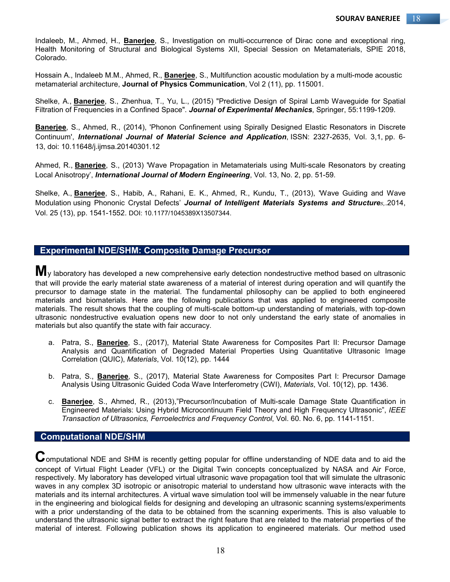Indaleeb, M., Ahmed, H., **Banerjee**, S., Investigation on multi-occurrence of Dirac cone and exceptional ring, Health Monitoring of Structural and Biological Systems XII, Special Session on Metamaterials, SPIE 2018, Colorado.

Hossain A., Indaleeb M.M., Ahmed, R., **Banerjee**, S., Multifunction acoustic modulation by a multi-mode acoustic metamaterial architecture, **Journal of Physics Communication**, Vol 2 (11), pp. 115001.

Shelke, A., **Banerjee**, S., Zhenhua, T., Yu, L., (2015) "Predictive Design of Spiral Lamb Waveguide for Spatial Filtration of Frequencies in a Confined Space". *Journal of Experimental Mechanics*, Springer, 55:1199-1209.

**Banerjee**, S., Ahmed, R., (2014), 'Phonon Confinement using Spirally Designed Elastic Resonators in Discrete Continuum', *International Journal of Material Science and Application*, ISSN: 2327-2635, Vol. 3,1, pp. 6- 13, doi: 10.11648/j.ijmsa.20140301.12

Ahmed, R., **Banerjee**, S., (2013) 'Wave Propagation in Metamaterials using Multi-scale Resonators by creating Local Anisotropy', *International Journal of Modern Engineering*, Vol. 13, No. 2, pp. 51-59.

Shelke, A., **Banerjee**, S., Habib, A., Rahani, E. K., Ahmed, R., Kundu, T., (2013), 'Wave Guiding and Wave Modulation using Phononic Crystal Defects' *Journal of Intelligent Materials Systems and Structures,*.2014, Vol. 25 (13), pp. 1541-1552. DOI: 10.1177/1045389X13507344.

# **Experimental NDE/SHM: Composite Damage Precursor**

**M**<sub>V</sub> laboratory has developed a new comprehensive early detection nondestructive method based on ultrasonic that will provide the early material state awareness of a material of interest during operation and will quantify the precursor to damage state in the material. The fundamental philosophy can be applied to both engineered materials and biomaterials. Here are the following publications that was applied to engineered composite materials. The result shows that the coupling of multi-scale bottom-up understanding of materials, with top-down ultrasonic nondestructive evaluation opens new door to not only understand the early state of anomalies in materials but also quantify the state with fair accuracy.

- a. Patra, S., **Banerjee**, S., (2017), Material State Awareness for Composites Part II: Precursor Damage Analysis and Quantification of Degraded Material Properties Using Quantitative Ultrasonic Image Correlation (QUIC), *Materials*, Vol. 10(12), pp. 1444
- b. Patra, S., **Banerjee**, S., (2017), Material State Awareness for Composites Part I: Precursor Damage Analysis Using Ultrasonic Guided Coda Wave Interferometry (CWI), *Materials*, Vol. 10(12), pp. 1436.
- c. **Banerjee**, S., Ahmed, R., (2013),"Precursor/Incubation of Multi-scale Damage State Quantification in Engineered Materials: Using Hybrid Microcontinuum Field Theory and High Frequency Ultrasonic", *IEEE Transaction of Ultrasonics, Ferroelectrics and Frequency Control*, Vol. 60. No. 6, pp. 1141-1151.

# **Computational NDE/SHM**

 ${\mathbf C}$ omputational NDE and SHM is recently getting popular for offline understanding of NDE data and to aid the concept of Virtual Flight Leader (VFL) or the Digital Twin concepts conceptualized by NASA and Air Force, respectively. My laboratory has developed virtual ultrasonic wave propagation tool that will simulate the ultrasonic waves in any complex 3D isotropic or anisotropic material to understand how ultrasonic wave interacts with the materials and its internal architectures. A virtual wave simulation tool will be immensely valuable in the near future in the engineering and biological fields for designing and developing an ultrasonic scanning systems/experiments with a prior understanding of the data to be obtained from the scanning experiments. This is also valuable to understand the ultrasonic signal better to extract the right feature that are related to the material properties of the material of interest. Following publication shows its application to engineered materials. Our method used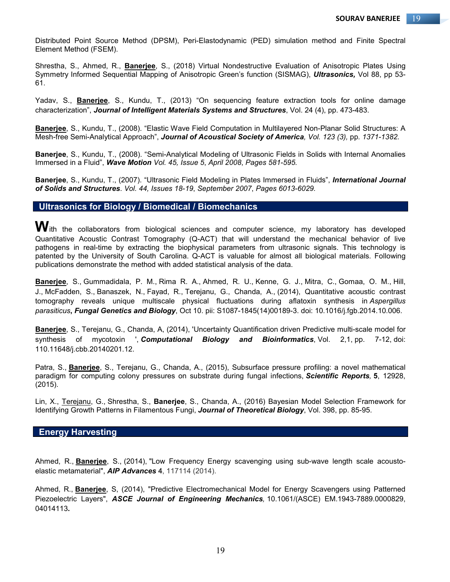Distributed Point Source Method (DPSM), Peri-Elastodynamic (PED) simulation method and Finite Spectral Element Method (FSEM).

Shrestha, S., Ahmed, R., **Banerjee**, S., (2018) Virtual Nondestructive Evaluation of Anisotropic Plates Using Symmetry Informed Sequential Mapping of Anisotropic Green's function (SISMAG), *Ultrasonics,* Vol 88, pp 53- 61.

Yadav, S., **Banerjee**, S., Kundu, T., (2013) "On sequencing feature extraction tools for online damage characterization", *Journal of Intelligent Materials Systems and Structures*, Vol. 24 (4), pp. 473-483.

**Banerjee**, S., Kundu, T., (2008). "Elastic Wave Field Computation in Multilayered Non-Planar Solid Structures: A Mesh-free Semi-Analytical Approach", *Journal of Acoustical Society of America, Vol. 123 (3),* pp*. 1371-1382.*

**Banerjee**, S., Kundu, T., (2008). "Semi-Analytical Modeling of Ultrasonic Fields in Solids with Internal Anomalies Immersed in a Fluid", *Wave Motion Vol. 45, Issue 5*, *April 2008*, *Pages 581-595.*

**Banerjee**, S., Kundu, T., (2007). "Ultrasonic Field Modeling in Plates Immersed in Fluids", *International Journal of Solids and Structures*. *Vol. 44, Issues 18-19*, *September 2007*, *Pages 6013-6029.*

# **Ultrasonics for Biology / Biomedical / Biomechanics**

 $\bm{W}$ ith the collaborators from biological sciences and computer science, my laboratory has developed Quantitative Acoustic Contrast Tomography (Q-ACT) that will understand the mechanical behavior of live pathogens in real-time by extracting the biophysical parameters from ultrasonic signals. This technology is patented by the University of South Carolina. Q-ACT is valuable for almost all biological materials. Following publications demonstrate the method with added statistical analysis of the data.

**Banerjee**, S., Gummadidala, P. M., Rima R. A., Ahmed, R. U., Kenne, G. J., Mitra, C., Gomaa, O. M., Hill, J., McFadden, S., Banaszek, N., Fayad, R., Terejanu, G., Chanda, A., (2014), Quantitative acoustic contrast tomography reveals unique multiscale physical fluctuations during aflatoxin synthesis in *Aspergillus parasiticus***,** *Fungal Genetics and Biology*, Oct 10. pii: S1087-1845(14)00189-3. doi: 10.1016/j.fgb.2014.10.006.

**Banerjee**, S., Terejanu, G., Chanda, A, (2014), 'Uncertainty Quantification driven Predictive multi-scale model for synthesis of mycotoxin ', *Computational Biology and Bioinformatics*, Vol. 2,1, pp. 7-12, doi: 110.11648/j.cbb.20140201.12.

Patra, S., **Banerjee**, S., Terejanu, G., Chanda, A., (2015), Subsurface pressure profiling: a novel mathematical paradigm for computing colony pressures on substrate during fungal infections, *Scientific Reports,* **5**, 12928, (2015).

Lin, X., Terejanu, G., Shrestha, S., **Banerjee**, S., Chanda, A., (2016) Bayesian Model Selection Framework for Identifying Growth Patterns in Filamentous Fungi, *Journal of Theoretical Biology*, Vol. 398, pp. 85-95.

## **Energy Harvesting**

Ahmed, R., **Banerjee**, S., (2014), "Low Frequency Energy scavenging using sub-wave length scale acoustoelastic metamaterial", *AIP Advances* **4**, 117114 (2014).

Ahmed, R., **Banerjee**, S, (2014), "Predictive Electromechanical Model for Energy Scavengers using Patterned Piezoelectric Layers", *ASCE Journal of Engineering Mechanics,* 10.1061/(ASCE) EM.1943-7889.0000829, 04014113**.**